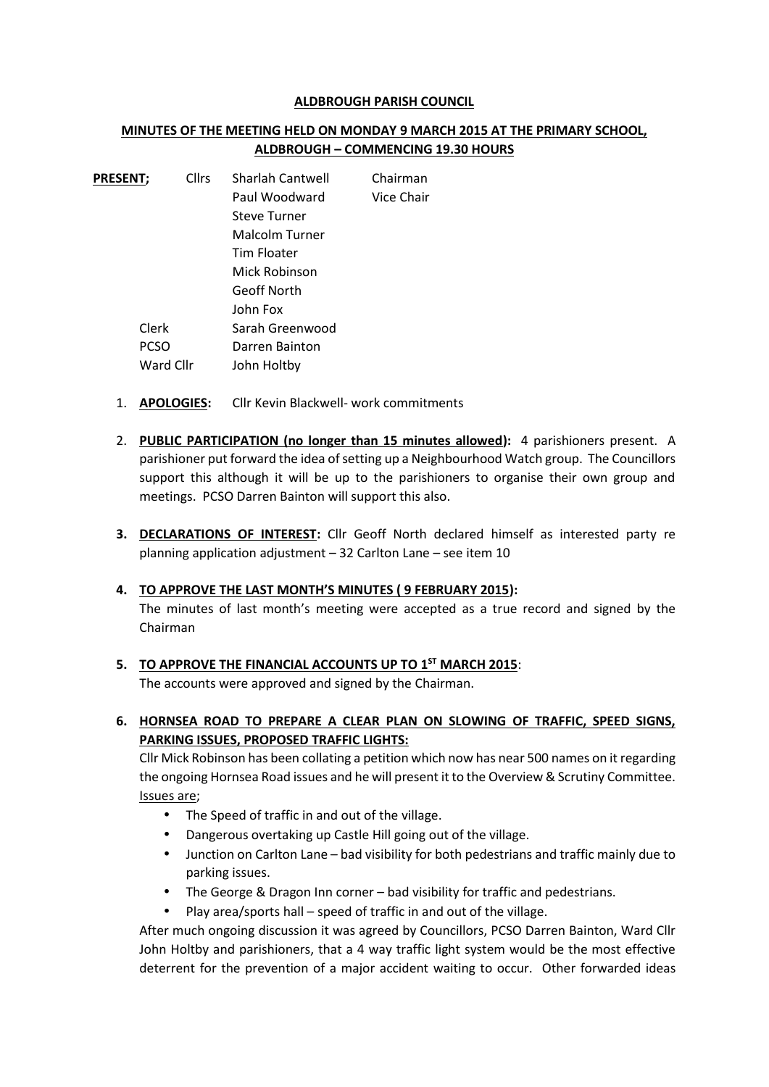#### **ALDBROUGH PARISH COUNCIL**

## **MINUTES OF THE MEETING HELD ON MONDAY 9 MARCH 2015 AT THE PRIMARY SCHOOL, ALDBROUGH – COMMENCING 19.30 HOURS**

| <b>PRESENT;</b> |             | <b>Cllrs</b> | Sharlah Cantwell    | Chairman   |
|-----------------|-------------|--------------|---------------------|------------|
|                 |             |              | Paul Woodward       | Vice Chair |
|                 |             |              | <b>Steve Turner</b> |            |
|                 |             |              | Malcolm Turner      |            |
|                 |             |              | <b>Tim Floater</b>  |            |
|                 |             |              | Mick Robinson       |            |
|                 |             |              | <b>Geoff North</b>  |            |
|                 |             |              | John Fox            |            |
|                 | Clerk       |              | Sarah Greenwood     |            |
|                 | <b>PCSO</b> |              | Darren Bainton      |            |
|                 | Ward Cllr   |              | John Holtby         |            |

- 1. **APOLOGIES:** Cllr Kevin Blackwell- work commitments
- 2. **PUBLIC PARTICIPATION (no longer than 15 minutes allowed):** 4 parishioners present. A parishioner put forward the idea of setting up a Neighbourhood Watch group. The Councillors support this although it will be up to the parishioners to organise their own group and meetings. PCSO Darren Bainton will support this also.
- **3. DECLARATIONS OF INTEREST:** Cllr Geoff North declared himself as interested party re planning application adjustment – 32 Carlton Lane – see item 10

## **4. TO APPROVE THE LAST MONTH'S MINUTES ( 9 FEBRUARY 2015):**

The minutes of last month's meeting were accepted as a true record and signed by the Chairman

## **5. TO APPROVE THE FINANCIAL ACCOUNTS UP TO 1 ST MARCH 2015**:

The accounts were approved and signed by the Chairman.

**6. HORNSEA ROAD TO PREPARE A CLEAR PLAN ON SLOWING OF TRAFFIC, SPEED SIGNS, PARKING ISSUES, PROPOSED TRAFFIC LIGHTS:**

Cllr Mick Robinson has been collating a petition which now has near 500 names on it regarding the ongoing Hornsea Road issues and he will present it to the Overview & Scrutiny Committee. Issues are;

- The Speed of traffic in and out of the village.
- Dangerous overtaking up Castle Hill going out of the village.
- Junction on Carlton Lane bad visibility for both pedestrians and traffic mainly due to parking issues.
- The George & Dragon Inn corner bad visibility for traffic and pedestrians.
- Play area/sports hall speed of traffic in and out of the village.

After much ongoing discussion it was agreed by Councillors, PCSO Darren Bainton, Ward Cllr John Holtby and parishioners, that a 4 way traffic light system would be the most effective deterrent for the prevention of a major accident waiting to occur. Other forwarded ideas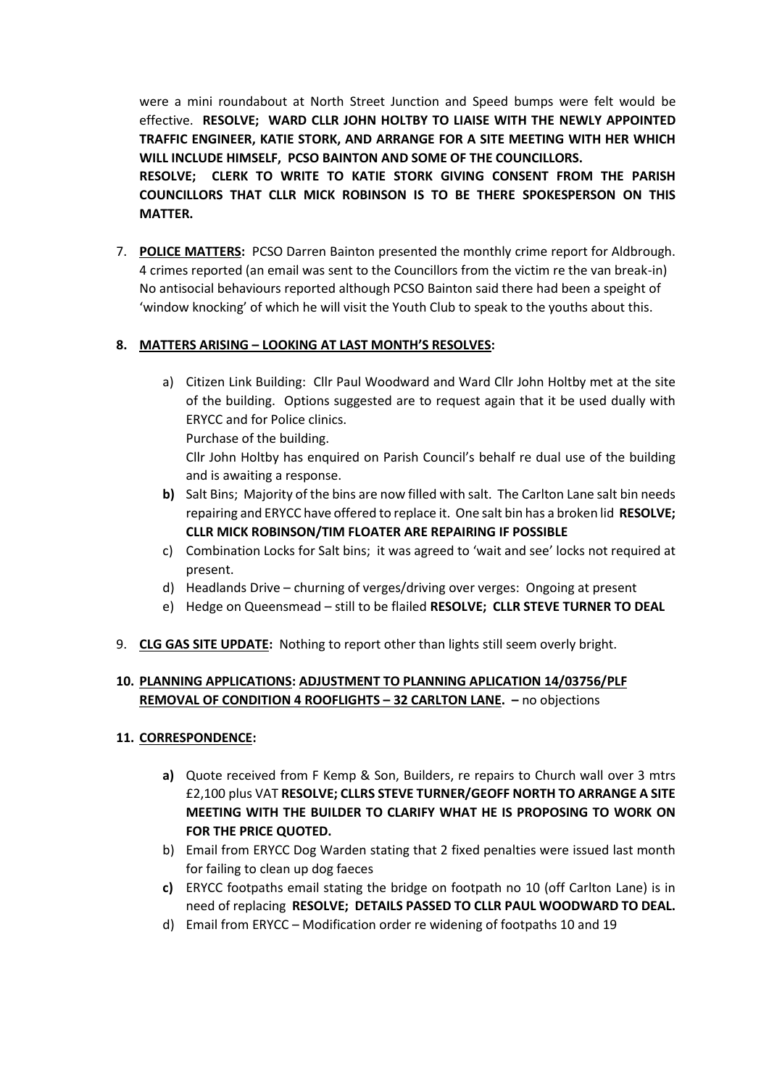were a mini roundabout at North Street Junction and Speed bumps were felt would be effective. **RESOLVE; WARD CLLR JOHN HOLTBY TO LIAISE WITH THE NEWLY APPOINTED TRAFFIC ENGINEER, KATIE STORK, AND ARRANGE FOR A SITE MEETING WITH HER WHICH WILL INCLUDE HIMSELF, PCSO BAINTON AND SOME OF THE COUNCILLORS. RESOLVE; CLERK TO WRITE TO KATIE STORK GIVING CONSENT FROM THE PARISH**

**COUNCILLORS THAT CLLR MICK ROBINSON IS TO BE THERE SPOKESPERSON ON THIS MATTER.**

7. **POLICE MATTERS:** PCSO Darren Bainton presented the monthly crime report for Aldbrough. 4 crimes reported (an email was sent to the Councillors from the victim re the van break-in) No antisocial behaviours reported although PCSO Bainton said there had been a speight of 'window knocking' of which he will visit the Youth Club to speak to the youths about this.

# **8. MATTERS ARISING – LOOKING AT LAST MONTH'S RESOLVES:**

- a) Citizen Link Building: Cllr Paul Woodward and Ward Cllr John Holtby met at the site of the building. Options suggested are to request again that it be used dually with ERYCC and for Police clinics. Purchase of the building. Cllr John Holtby has enquired on Parish Council's behalf re dual use of the building and is awaiting a response.
- **b)** Salt Bins; Majority of the bins are now filled with salt. The Carlton Lane salt bin needs repairing and ERYCC have offered to replace it. One salt bin has a broken lid **RESOLVE; CLLR MICK ROBINSON/TIM FLOATER ARE REPAIRING IF POSSIBLE**
- c) Combination Locks for Salt bins; it was agreed to 'wait and see' locks not required at present.
- d) Headlands Drive churning of verges/driving over verges: Ongoing at present
- e) Hedge on Queensmead still to be flailed **RESOLVE; CLLR STEVE TURNER TO DEAL**
- 9. **CLG GAS SITE UPDATE:** Nothing to report other than lights still seem overly bright.

# **10. PLANNING APPLICATIONS: ADJUSTMENT TO PLANNING APLICATION 14/03756/PLF REMOVAL OF CONDITION 4 ROOFLIGHTS – 32 CARLTON LANE. –** no objections

## **11. CORRESPONDENCE:**

- **a)** Quote received from F Kemp & Son, Builders, re repairs to Church wall over 3 mtrs £2,100 plus VAT **RESOLVE; CLLRS STEVE TURNER/GEOFF NORTH TO ARRANGE A SITE MEETING WITH THE BUILDER TO CLARIFY WHAT HE IS PROPOSING TO WORK ON FOR THE PRICE QUOTED.**
- b) Email from ERYCC Dog Warden stating that 2 fixed penalties were issued last month for failing to clean up dog faeces
- **c)** ERYCC footpaths email stating the bridge on footpath no 10 (off Carlton Lane) is in need of replacing **RESOLVE; DETAILS PASSED TO CLLR PAUL WOODWARD TO DEAL.**
- d) Email from ERYCC Modification order re widening of footpaths 10 and 19